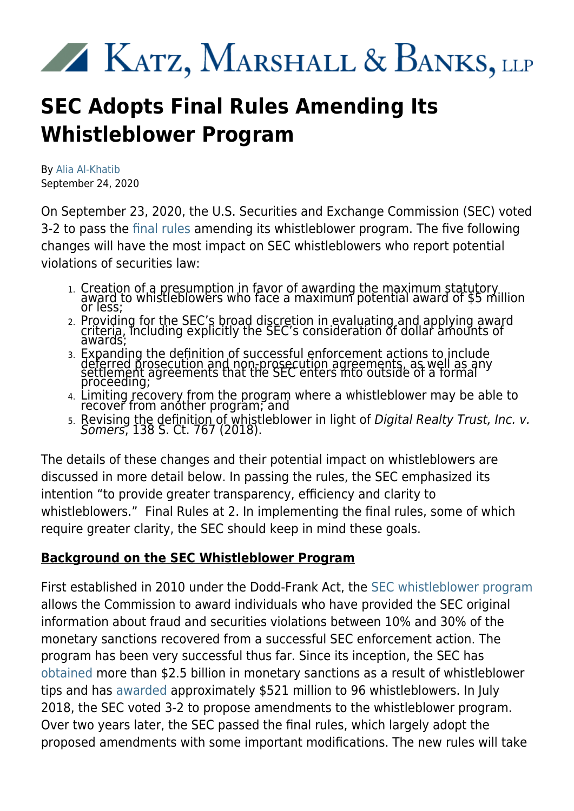# 

# **SEC Adopts Final Rules Amending Its Whistleblower Program**

By [Alia Al-Khatib](https://kmblegal.com/attorneys-and-staff/alia-al-khatib) September 24, 2020

On September 23, 2020, the U.S. Securities and Exchange Commission (SEC) voted 3-2 to pass the [final rules](https://www.sec.gov/rules/final/2020/34-89963.pdf) amending its whistleblower program. The five following changes will have the most impact on SEC whistleblowers who report potential violations of securities law:

- 1. Creation of a presumption in favor of awarding the maximum statutory award to whistleblowers who face a maximum potential award of \$5 million<br>or less;
- 2. Providing for the SEC's broad discretion in evaluating and applying award criteria, including explicitly the SEC's consideration of dollar amounts of<br>awards;
- 3. Expanding the definition of successful enforcement actions to include deferred prosecution and non-prosecution agreements, as well as any<br>settlement agreements that the SEC enters into outside of a formal<br>proceeding;
- 4. Limiting recovery from the program where a whistleblower may be able to recover from another program; and
- 5. Revising the definit<u>ion of whis</u>tleblower in light of Digital Realty Trust, Inc. ν. Somers, 138 S. Ct. 767 (2018).

The details of these changes and their potential impact on whistleblowers are discussed in more detail below. In passing the rules, the SEC emphasized its intention "to provide greater transparency, efficiency and clarity to whistleblowers." Final Rules at 2. In implementing the final rules, some of which require greater clarity, the SEC should keep in mind these goals.

### **Background on the SEC Whistleblower Program**

First established in 2010 under the Dodd-Frank Act, the [SEC whistleblower program](https://www.kmblegal.com/practice-areas/sec-whistleblower-law) allows the Commission to award individuals who have provided the SEC original information about fraud and securities violations between 10% and 30% of the monetary sanctions recovered from a successful SEC enforcement action. The program has been very successful thus far. Since its inception, the SEC has [obtained](https://www.sec.gov/news/press-release/2020-219) more than \$2.5 billion in monetary sanctions as a result of whistleblower tips and has [awarded](https://www.sec.gov/news/press-release/2020-214) approximately \$521 million to 96 whistleblowers. In July 2018, the SEC voted 3-2 to propose amendments to the whistleblower program. Over two years later, the SEC passed the final rules, which largely adopt the proposed amendments with some important modifications. The new rules will take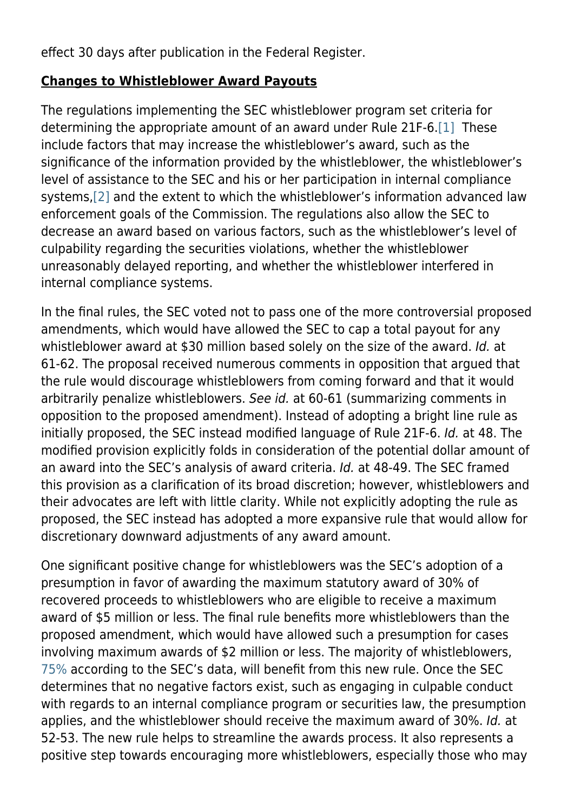effect 30 days after publication in the Federal Register.

#### **Changes to Whistleblower Award Payouts**

The regulations implementing the SEC whistleblower program set criteria for determining the appropriate amount of an award under Rule 21F-6[.\[1\]](https://kmblegal.com/printpdf/2382#_ftn1) These include factors that may increase the whistleblower's award, such as the significance of the information provided by the whistleblower, the whistleblower's level of assistance to the SEC and his or her participation in internal compliance systems,[\[2\]](https://kmblegal.com/printpdf/2382#_ftn2) and the extent to which the whistleblower's information advanced law enforcement goals of the Commission. The regulations also allow the SEC to decrease an award based on various factors, such as the whistleblower's level of culpability regarding the securities violations, whether the whistleblower unreasonably delayed reporting, and whether the whistleblower interfered in internal compliance systems.

In the final rules, the SEC voted not to pass one of the more controversial proposed amendments, which would have allowed the SEC to cap a total payout for any whistleblower award at \$30 million based solely on the size of the award. Id. at 61-62. The proposal received numerous comments in opposition that argued that the rule would discourage whistleblowers from coming forward and that it would arbitrarily penalize whistleblowers. See id. at 60-61 (summarizing comments in opposition to the proposed amendment). Instead of adopting a bright line rule as initially proposed, the SEC instead modified language of Rule 21F-6. Id. at 48. The modified provision explicitly folds in consideration of the potential dollar amount of an award into the SEC's analysis of award criteria. Id. at 48-49. The SEC framed this provision as a clarification of its broad discretion; however, whistleblowers and their advocates are left with little clarity. While not explicitly adopting the rule as proposed, the SEC instead has adopted a more expansive rule that would allow for discretionary downward adjustments of any award amount.

One significant positive change for whistleblowers was the SEC's adoption of a presumption in favor of awarding the maximum statutory award of 30% of recovered proceeds to whistleblowers who are eligible to receive a maximum award of \$5 million or less. The final rule benefits more whistleblowers than the proposed amendment, which would have allowed such a presumption for cases involving maximum awards of \$2 million or less. The majority of whistleblowers, [75%](https://www.sec.gov/news/public-statement/clayton-whistleblower-2020-09-23) according to the SEC's data, will benefit from this new rule. Once the SEC determines that no negative factors exist, such as engaging in culpable conduct with regards to an internal compliance program or securities law, the presumption applies, and the whistleblower should receive the maximum award of 30%. Id. at 52-53. The new rule helps to streamline the awards process. It also represents a positive step towards encouraging more whistleblowers, especially those who may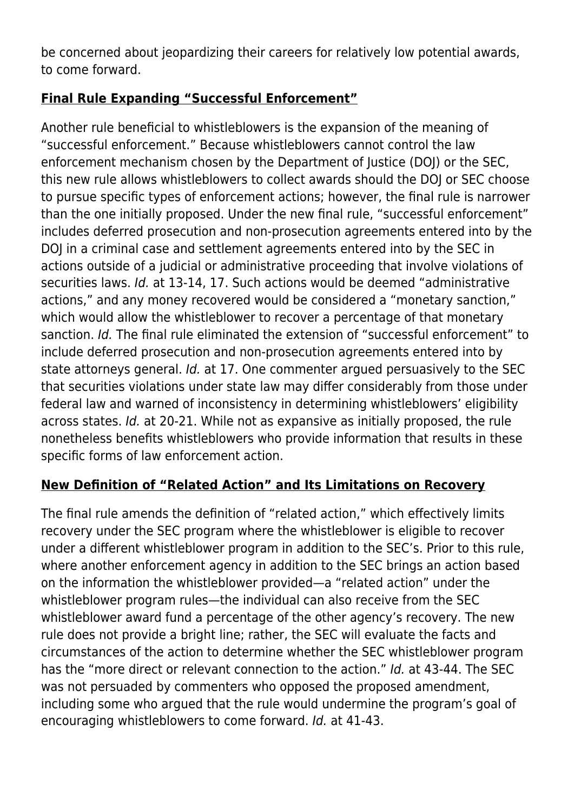be concerned about jeopardizing their careers for relatively low potential awards, to come forward.

# **Final Rule Expanding "Successful Enforcement"**

Another rule beneficial to whistleblowers is the expansion of the meaning of "successful enforcement." Because whistleblowers cannot control the law enforcement mechanism chosen by the Department of Justice (DOJ) or the SEC, this new rule allows whistleblowers to collect awards should the DOJ or SEC choose to pursue specific types of enforcement actions; however, the final rule is narrower than the one initially proposed. Under the new final rule, "successful enforcement" includes deferred prosecution and non-prosecution agreements entered into by the DOJ in a criminal case and settlement agreements entered into by the SEC in actions outside of a judicial or administrative proceeding that involve violations of securities laws. Id. at 13-14, 17. Such actions would be deemed "administrative actions," and any money recovered would be considered a "monetary sanction," which would allow the whistleblower to recover a percentage of that monetary sanction. Id. The final rule eliminated the extension of "successful enforcement" to include deferred prosecution and non-prosecution agreements entered into by state attorneys general. Id. at 17. One commenter argued persuasively to the SEC that securities violations under state law may differ considerably from those under federal law and warned of inconsistency in determining whistleblowers' eligibility across states. Id. at 20-21. While not as expansive as initially proposed, the rule nonetheless benefits whistleblowers who provide information that results in these specific forms of law enforcement action.

# **New Definition of "Related Action" and Its Limitations on Recovery**

The final rule amends the definition of "related action," which effectively limits recovery under the SEC program where the whistleblower is eligible to recover under a different whistleblower program in addition to the SEC's. Prior to this rule, where another enforcement agency in addition to the SEC brings an action based on the information the whistleblower provided—a "related action" under the whistleblower program rules—the individual can also receive from the SEC whistleblower award fund a percentage of the other agency's recovery. The new rule does not provide a bright line; rather, the SEC will evaluate the facts and circumstances of the action to determine whether the SEC whistleblower program has the "more direct or relevant connection to the action." Id. at 43-44. The SEC was not persuaded by commenters who opposed the proposed amendment, including some who argued that the rule would undermine the program's goal of encouraging whistleblowers to come forward. Id. at 41-43.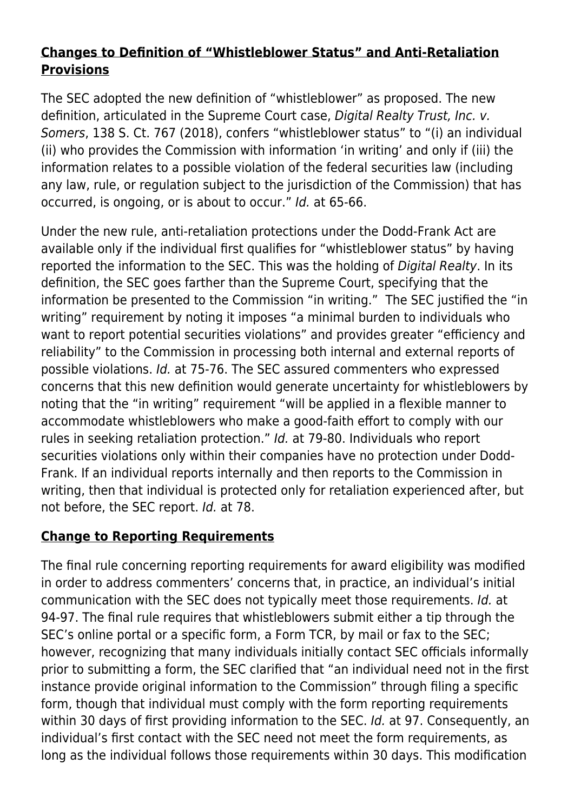## **Changes to Definition of "Whistleblower Status" and Anti-Retaliation Provisions**

The SEC adopted the new definition of "whistleblower" as proposed. The new definition, articulated in the Supreme Court case, Digital Realty Trust, Inc. v. Somers, 138 S. Ct. 767 (2018), confers "whistleblower status" to "(i) an individual (ii) who provides the Commission with information 'in writing' and only if (iii) the information relates to a possible violation of the federal securities law (including any law, rule, or regulation subject to the jurisdiction of the Commission) that has occurred, is ongoing, or is about to occur." Id. at 65-66.

Under the new rule, anti-retaliation protections under the Dodd-Frank Act are available only if the individual first qualifies for "whistleblower status" by having reported the information to the SEC. This was the holding of Digital Realty. In its definition, the SEC goes farther than the Supreme Court, specifying that the information be presented to the Commission "in writing." The SEC justified the "in writing" requirement by noting it imposes "a minimal burden to individuals who want to report potential securities violations" and provides greater "efficiency and reliability" to the Commission in processing both internal and external reports of possible violations. Id. at 75-76. The SEC assured commenters who expressed concerns that this new definition would generate uncertainty for whistleblowers by noting that the "in writing" requirement "will be applied in a flexible manner to accommodate whistleblowers who make a good-faith effort to comply with our rules in seeking retaliation protection." Id. at 79-80. Individuals who report securities violations only within their companies have no protection under Dodd-Frank. If an individual reports internally and then reports to the Commission in writing, then that individual is protected only for retaliation experienced after, but not before, the SEC report. Id. at 78.

# **Change to Reporting Requirements**

The final rule concerning reporting requirements for award eligibility was modified in order to address commenters' concerns that, in practice, an individual's initial communication with the SEC does not typically meet those requirements. Id. at 94-97. The final rule requires that whistleblowers submit either a tip through the SEC's online portal or a specific form, a Form TCR, by mail or fax to the SEC; however, recognizing that many individuals initially contact SEC officials informally prior to submitting a form, the SEC clarified that "an individual need not in the first instance provide original information to the Commission" through filing a specific form, though that individual must comply with the form reporting requirements within 30 days of first providing information to the SEC. *Id.* at 97. Consequently, an individual's first contact with the SEC need not meet the form requirements, as long as the individual follows those requirements within 30 days. This modification